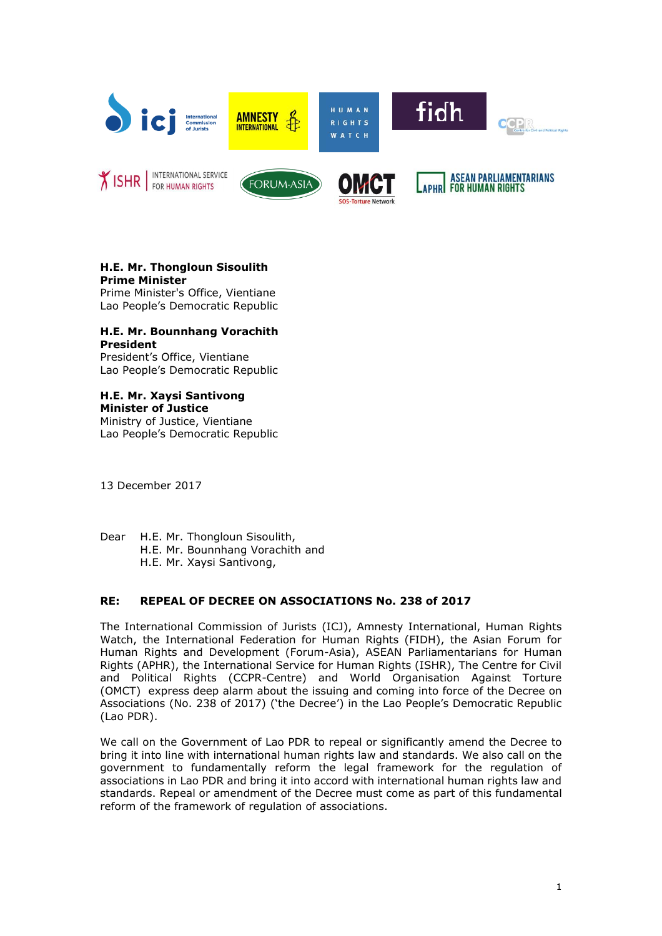

# **H.E. Mr. Thongloun Sisoulith Prime Minister**

Prime Minister's Office, Vientiane Lao People's Democratic Republic

### **H.E. Mr. Bounnhang Vorachith President**

President's Office, Vientiane Lao People's Democratic Republic

# **H.E. Mr. Xaysi Santivong**

**Minister of Justice** Ministry of Justice, Vientiane Lao People's Democratic Republic

13 December 2017

Dear H.E. Mr. Thongloun Sisoulith, H.E. Mr. Bounnhang Vorachith and H.E. Mr. Xaysi Santivong,

# **RE: REPEAL OF DECREE ON ASSOCIATIONS No. 238 of 2017**

The International Commission of Jurists (ICJ), Amnesty International, Human Rights Watch, the International Federation for Human Rights (FIDH), the Asian Forum for Human Rights and Development (Forum-Asia), ASEAN Parliamentarians for Human Rights (APHR), the International Service for Human Rights (ISHR), The Centre for Civil and Political Rights (CCPR-Centre) and World Organisation Against Torture (OMCT) express deep alarm about the issuing and coming into force of the Decree on Associations (No. 238 of 2017) ('the Decree') in the Lao People's Democratic Republic (Lao PDR).

We call on the Government of Lao PDR to repeal or significantly amend the Decree to bring it into line with international human rights law and standards. We also call on the government to fundamentally reform the legal framework for the regulation of associations in Lao PDR and bring it into accord with international human rights law and standards. Repeal or amendment of the Decree must come as part of this fundamental reform of the framework of regulation of associations.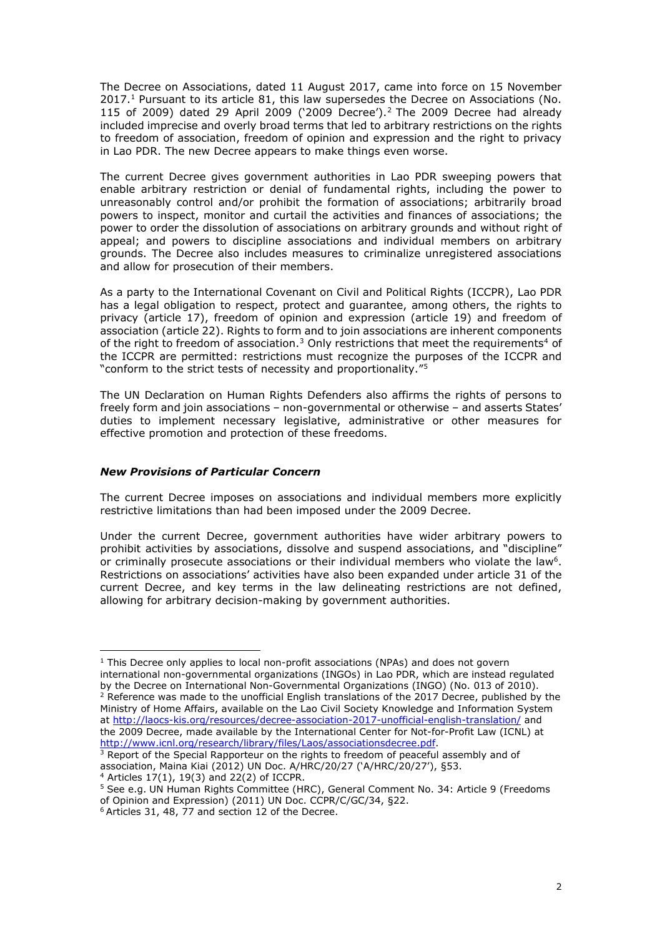The Decree on Associations, dated 11 August 2017, came into force on 15 November 2017.<sup>1</sup> Pursuant to its article 81, this law supersedes the Decree on Associations (No. 115 of 2009) dated 29 April 2009 ('2009 Decree'). <sup>2</sup> The 2009 Decree had already included imprecise and overly broad terms that led to arbitrary restrictions on the rights to freedom of association, freedom of opinion and expression and the right to privacy in Lao PDR. The new Decree appears to make things even worse.

The current Decree gives government authorities in Lao PDR sweeping powers that enable arbitrary restriction or denial of fundamental rights, including the power to unreasonably control and/or prohibit the formation of associations; arbitrarily broad powers to inspect, monitor and curtail the activities and finances of associations; the power to order the dissolution of associations on arbitrary grounds and without right of appeal; and powers to discipline associations and individual members on arbitrary grounds. The Decree also includes measures to criminalize unregistered associations and allow for prosecution of their members.

As a party to the International Covenant on Civil and Political Rights (ICCPR), Lao PDR has a legal obligation to respect, protect and guarantee, among others, the rights to privacy (article 17), freedom of opinion and expression (article 19) and freedom of association (article 22). Rights to form and to join associations are inherent components of the right to freedom of association. $3$  Only restrictions that meet the requirements<sup>4</sup> of the ICCPR are permitted: restrictions must recognize the purposes of the ICCPR and "conform to the strict tests of necessity and proportionality."<sup>5</sup>

The UN Declaration on Human Rights Defenders also affirms the rights of persons to freely form and join associations – non-governmental or otherwise – and asserts States' duties to implement necessary legislative, administrative or other measures for effective promotion and protection of these freedoms.

## *New Provisions of Particular Concern*

The current Decree imposes on associations and individual members more explicitly restrictive limitations than had been imposed under the 2009 Decree.

Under the current Decree, government authorities have wider arbitrary powers to prohibit activities by associations, dissolve and suspend associations, and "discipline" or criminally prosecute associations or their individual members who violate the law<sup>6</sup>. Restrictions on associations' activities have also been expanded under article 31 of the current Decree, and key terms in the law delineating restrictions are not defined, allowing for arbitrary decision-making by government authorities.

 $\overline{a}$ 

 $1$  This Decree only applies to local non-profit associations (NPAs) and does not govern international non-governmental organizations (INGOs) in Lao PDR, which are instead regulated by the Decree on International Non-Governmental Organizations (INGO) (No. 013 of 2010). <sup>2</sup> Reference was made to the unofficial English translations of the 2017 Decree, published by the Ministry of Home Affairs, available on the Lao Civil Society Knowledge and Information System at<http://laocs-kis.org/resources/decree-association-2017-unofficial-english-translation/> and the 2009 Decree, made available by the International Center for Not-for-Profit Law (ICNL) at [http://www.icnl.org/research/library/files/Laos/associationsdecree.pdf.](http://www.icnl.org/research/library/files/Laos/associationsdecree.pdf)

<sup>&</sup>lt;sup>3</sup> Report of the Special Rapporteur on the rights to freedom of peaceful assembly and of association, Maina Kiai (2012) UN Doc. A/HRC/20/27 ('A/HRC/20/27'), §53.

 $4$  Articles 17(1), 19(3) and 22(2) of ICCPR.

<sup>5</sup> See e.g. UN Human Rights Committee (HRC), General Comment No. 34: Article 9 (Freedoms of Opinion and Expression) (2011) UN Doc. CCPR/C/GC/34, §22.

 $6$  Articles 31, 48, 77 and section 12 of the Decree.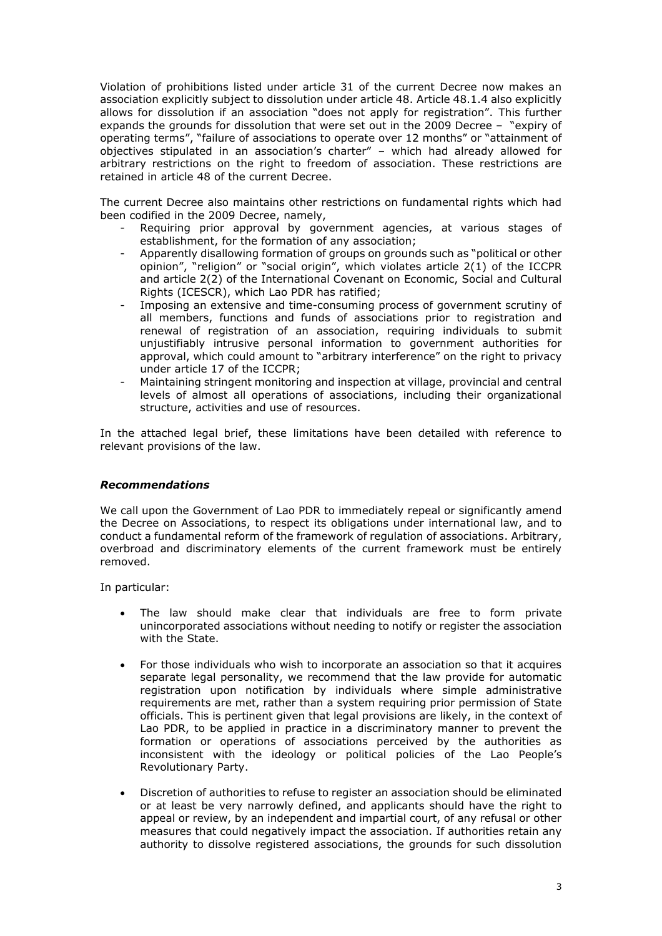Violation of prohibitions listed under article 31 of the current Decree now makes an association explicitly subject to dissolution under article 48. Article 48.1.4 also explicitly allows for dissolution if an association "does not apply for registration". This further expands the grounds for dissolution that were set out in the 2009 Decree – "expiry of operating terms", "failure of associations to operate over 12 months" or "attainment of objectives stipulated in an association's charter" – which had already allowed for arbitrary restrictions on the right to freedom of association. These restrictions are retained in article 48 of the current Decree.

The current Decree also maintains other restrictions on fundamental rights which had been codified in the 2009 Decree, namely,

- Requiring prior approval by government agencies, at various stages of establishment, for the formation of any association;
- Apparently disallowing formation of groups on grounds such as "political or other opinion", "religion" or "social origin", which violates article 2(1) of the ICCPR and article 2(2) of the International Covenant on Economic, Social and Cultural Rights (ICESCR), which Lao PDR has ratified;
- Imposing an extensive and time-consuming process of government scrutiny of all members, functions and funds of associations prior to registration and renewal of registration of an association, requiring individuals to submit unjustifiably intrusive personal information to government authorities for approval, which could amount to "arbitrary interference" on the right to privacy under article 17 of the ICCPR;
- Maintaining stringent monitoring and inspection at village, provincial and central levels of almost all operations of associations, including their organizational structure, activities and use of resources.

In the attached legal brief, these limitations have been detailed with reference to relevant provisions of the law.

#### *Recommendations*

We call upon the Government of Lao PDR to immediately repeal or significantly amend the Decree on Associations, to respect its obligations under international law, and to conduct a fundamental reform of the framework of regulation of associations. Arbitrary, overbroad and discriminatory elements of the current framework must be entirely removed.

In particular:

- The law should make clear that individuals are free to form private unincorporated associations without needing to notify or register the association with the State.
- For those individuals who wish to incorporate an association so that it acquires separate legal personality, we recommend that the law provide for automatic registration upon notification by individuals where simple administrative requirements are met, rather than a system requiring prior permission of State officials. This is pertinent given that legal provisions are likely, in the context of Lao PDR, to be applied in practice in a discriminatory manner to prevent the formation or operations of associations perceived by the authorities as inconsistent with the ideology or political policies of the Lao People's Revolutionary Party.
- Discretion of authorities to refuse to register an association should be eliminated or at least be very narrowly defined, and applicants should have the right to appeal or review, by an independent and impartial court, of any refusal or other measures that could negatively impact the association. If authorities retain any authority to dissolve registered associations, the grounds for such dissolution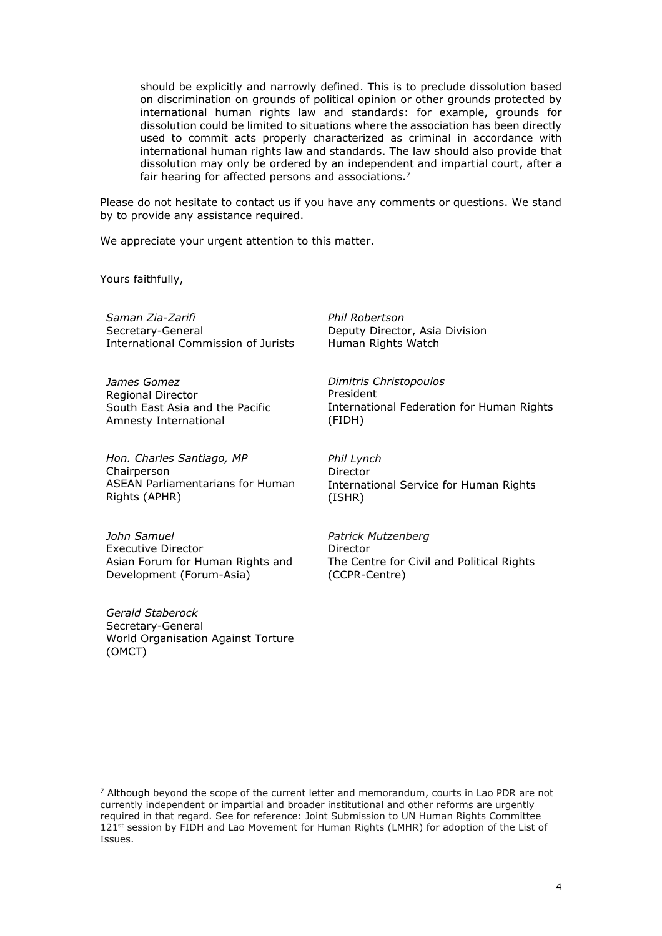should be explicitly and narrowly defined. This is to preclude dissolution based on discrimination on grounds of political opinion or other grounds protected by international human rights law and standards: for example, grounds for dissolution could be limited to situations where the association has been directly used to commit acts properly characterized as criminal in accordance with international human rights law and standards. The law should also provide that dissolution may only be ordered by an independent and impartial court, after a fair hearing for affected persons and associations.<sup>7</sup>

*Phil Robertson*

President

(FIDH)

Human Rights Watch

*Dimitris Christopoulos*

Deputy Director, Asia Division

Please do not hesitate to contact us if you have any comments or questions. We stand by to provide any assistance required.

We appreciate your urgent attention to this matter.

Yours faithfully,

*Saman Zia-Zarifi*  Secretary-General International Commission of Jurists

*James Gomez* Regional Director South East Asia and the Pacific Amnesty International

*Hon. Charles Santiago, MP* **Chairperson** ASEAN Parliamentarians for Human Rights (APHR)

*Phil Lynch* Director International Service for Human Rights (ISHR)

International Federation for Human Rights

*John Samuel* Executive Director Asian Forum for Human Rights and Development (Forum-Asia)

*Gerald Staberock* Secretary-General World Organisation Against Torture (OMCT)

*Patrick Mutzenberg* Director The Centre for Civil and Political Rights (CCPR-Centre)

 $\overline{a}$  $7$  Although beyond the scope of the current letter and memorandum, courts in Lao PDR are not currently independent or impartial and broader institutional and other reforms are urgently required in that regard. See for reference: Joint Submission to UN Human Rights Committee 121<sup>st</sup> session by FIDH and Lao Movement for Human Rights (LMHR) for adoption of the List of Issues.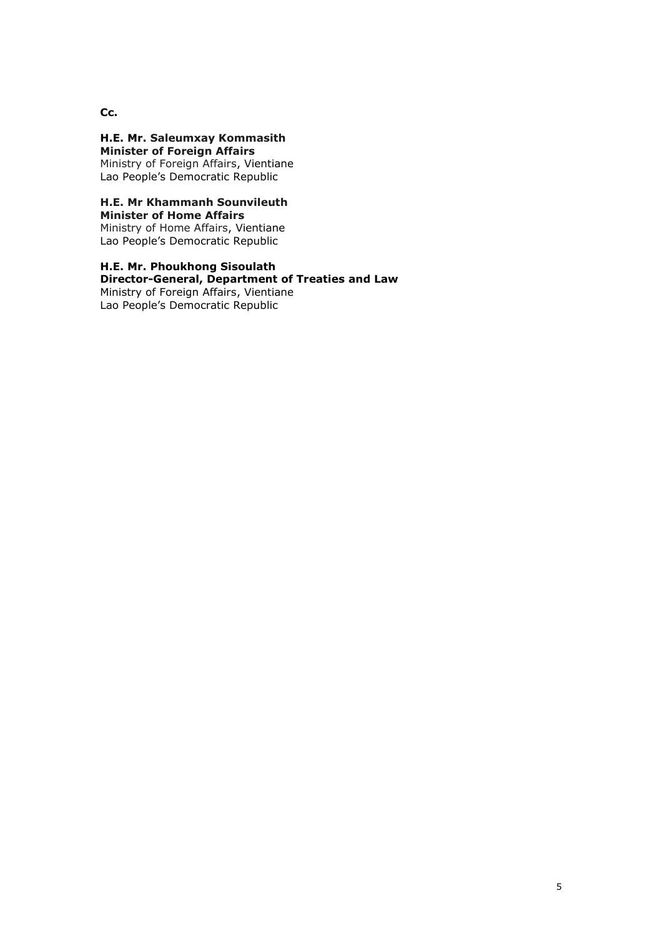**Cc.**

**H.E. Mr. Saleumxay Kommasith Minister of Foreign Affairs** Ministry of Foreign Affairs, Vientiane Lao People's Democratic Republic

# **H.E. Mr Khammanh Sounvileuth**

**Minister of Home Affairs** Ministry of Home Affairs, Vientiane Lao People's Democratic Republic

**H.E. Mr. Phoukhong Sisoulath Director-General, Department of Treaties and Law** Ministry of Foreign Affairs, Vientiane Lao People's Democratic Republic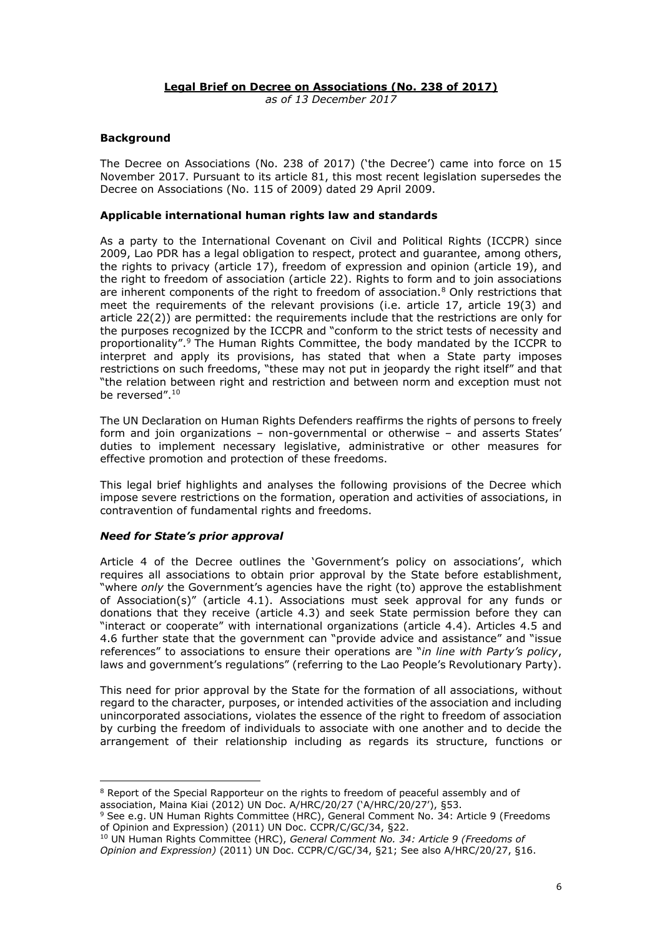#### **Legal Brief on Decree on Associations (No. 238 of 2017)** *as of 13 December 2017*

# **Background**

The Decree on Associations (No. 238 of 2017) ('the Decree') came into force on 15 November 2017. Pursuant to its article 81, this most recent legislation supersedes the Decree on Associations (No. 115 of 2009) dated 29 April 2009.

#### **Applicable international human rights law and standards**

As a party to the International Covenant on Civil and Political Rights (ICCPR) since 2009, Lao PDR has a legal obligation to respect, protect and guarantee, among others, the rights to privacy (article 17), freedom of expression and opinion (article 19), and the right to freedom of association (article 22). Rights to form and to join associations are inherent components of the right to freedom of association. $8$  Only restrictions that meet the requirements of the relevant provisions (i.e. article 17, article 19(3) and article 22(2)) are permitted: the requirements include that the restrictions are only for the purposes recognized by the ICCPR and "conform to the strict tests of necessity and proportionality".<sup>9</sup> The Human Rights Committee, the body mandated by the ICCPR to interpret and apply its provisions, has stated that when a State party imposes restrictions on such freedoms, "these may not put in jeopardy the right itself" and that "the relation between right and restriction and between norm and exception must not be reversed". 10

The UN Declaration on Human Rights Defenders reaffirms the rights of persons to freely form and join organizations – non-governmental or otherwise – and asserts States' duties to implement necessary legislative, administrative or other measures for effective promotion and protection of these freedoms.

This legal brief highlights and analyses the following provisions of the Decree which impose severe restrictions on the formation, operation and activities of associations, in contravention of fundamental rights and freedoms.

#### *Need for State's prior approval*

 $\overline{a}$ 

Article 4 of the Decree outlines the 'Government's policy on associations', which requires all associations to obtain prior approval by the State before establishment, "where *only* the Government's agencies have the right (to) approve the establishment of Association(s)" (article 4.1). Associations must seek approval for any funds or donations that they receive (article 4.3) and seek State permission before they can "interact or cooperate" with international organizations (article 4.4). Articles 4.5 and 4.6 further state that the government can "provide advice and assistance" and "issue references" to associations to ensure their operations are "*in line with Party's policy*, laws and government's regulations" (referring to the Lao People's Revolutionary Party).

This need for prior approval by the State for the formation of all associations, without regard to the character, purposes, or intended activities of the association and including unincorporated associations, violates the essence of the right to freedom of association by curbing the freedom of individuals to associate with one another and to decide the arrangement of their relationship including as regards its structure, functions or

<sup>&</sup>lt;sup>8</sup> Report of the Special Rapporteur on the rights to freedom of peaceful assembly and of association, Maina Kiai (2012) UN Doc. A/HRC/20/27 ('A/HRC/20/27'), §53.

<sup>9</sup> See e.g. UN Human Rights Committee (HRC), General Comment No. 34: Article 9 (Freedoms of Opinion and Expression) (2011) UN Doc. CCPR/C/GC/34, §22.

<sup>10</sup> UN Human Rights Committee (HRC), *General Comment No. 34: Article 9 (Freedoms of Opinion and Expression)* (2011) UN Doc. CCPR/C/GC/34, §21; See also A/HRC/20/27, §16.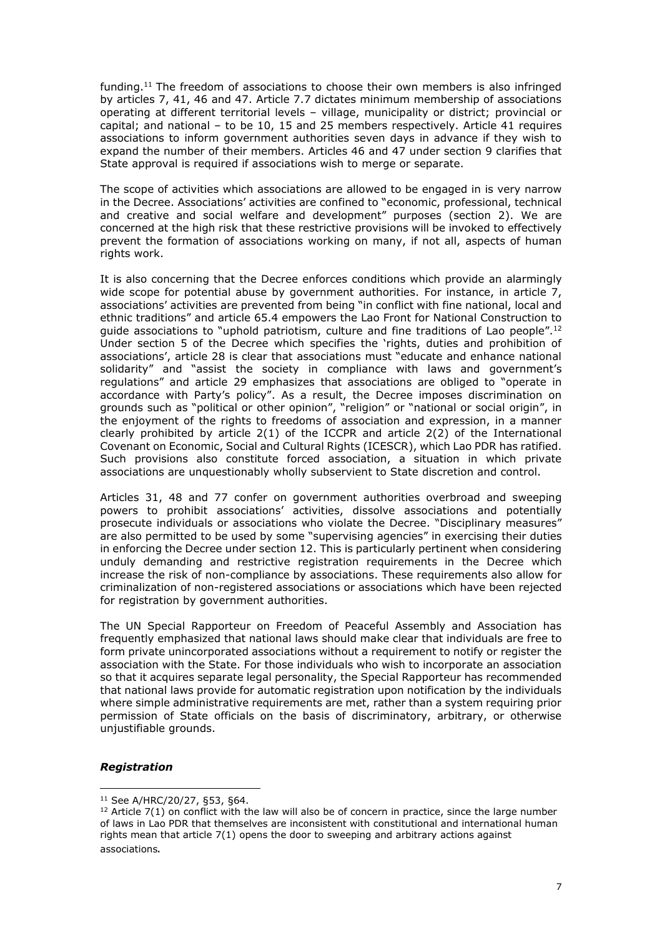funding. <sup>11</sup> The freedom of associations to choose their own members is also infringed by articles 7, 41, 46 and 47. Article 7.7 dictates minimum membership of associations operating at different territorial levels – village, municipality or district; provincial or capital; and national – to be 10, 15 and 25 members respectively. Article 41 requires associations to inform government authorities seven days in advance if they wish to expand the number of their members. Articles 46 and 47 under section 9 clarifies that State approval is required if associations wish to merge or separate.

The scope of activities which associations are allowed to be engaged in is very narrow in the Decree. Associations' activities are confined to "economic, professional, technical and creative and social welfare and development" purposes (section 2). We are concerned at the high risk that these restrictive provisions will be invoked to effectively prevent the formation of associations working on many, if not all, aspects of human rights work.

It is also concerning that the Decree enforces conditions which provide an alarmingly wide scope for potential abuse by government authorities. For instance, in article 7, associations' activities are prevented from being "in conflict with fine national, local and ethnic traditions" and article 65.4 empowers the Lao Front for National Construction to guide associations to "uphold patriotism, culture and fine traditions of Lao people".<sup>12</sup> Under section 5 of the Decree which specifies the 'rights, duties and prohibition of associations', article 28 is clear that associations must "educate and enhance national solidarity" and "assist the society in compliance with laws and government's regulations" and article 29 emphasizes that associations are obliged to "operate in accordance with Party's policy". As a result, the Decree imposes discrimination on grounds such as "political or other opinion", "religion" or "national or social origin", in the enjoyment of the rights to freedoms of association and expression, in a manner clearly prohibited by article  $2(1)$  of the ICCPR and article  $2(2)$  of the International Covenant on Economic, Social and Cultural Rights (ICESCR), which Lao PDR has ratified. Such provisions also constitute forced association, a situation in which private associations are unquestionably wholly subservient to State discretion and control.

Articles 31, 48 and 77 confer on government authorities overbroad and sweeping powers to prohibit associations' activities, dissolve associations and potentially prosecute individuals or associations who violate the Decree. "Disciplinary measures" are also permitted to be used by some "supervising agencies" in exercising their duties in enforcing the Decree under section 12. This is particularly pertinent when considering unduly demanding and restrictive registration requirements in the Decree which increase the risk of non-compliance by associations. These requirements also allow for criminalization of non-registered associations or associations which have been rejected for registration by government authorities.

The UN Special Rapporteur on Freedom of Peaceful Assembly and Association has frequently emphasized that national laws should make clear that individuals are free to form private unincorporated associations without a requirement to notify or register the association with the State. For those individuals who wish to incorporate an association so that it acquires separate legal personality, the Special Rapporteur has recommended that national laws provide for automatic registration upon notification by the individuals where simple administrative requirements are met, rather than a system requiring prior permission of State officials on the basis of discriminatory, arbitrary, or otherwise unjustifiable grounds.

# *Registration*

 $\overline{a}$ <sup>11</sup> See A/HRC/20/27, §53, §64.

 $12$  Article 7(1) on conflict with the law will also be of concern in practice, since the large number of laws in Lao PDR that themselves are inconsistent with constitutional and international human rights mean that article 7(1) opens the door to sweeping and arbitrary actions against associations.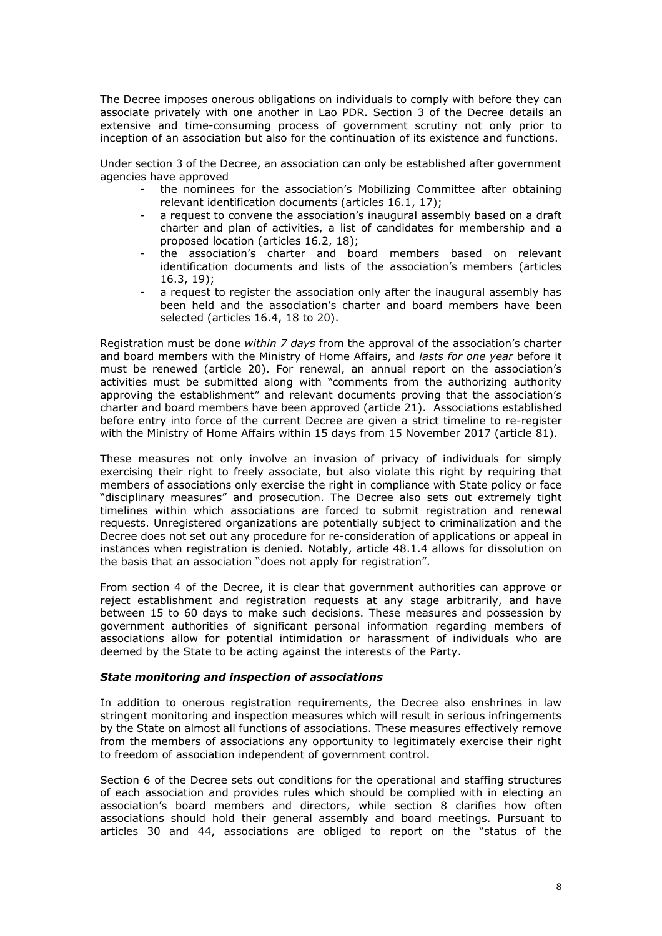The Decree imposes onerous obligations on individuals to comply with before they can associate privately with one another in Lao PDR. Section 3 of the Decree details an extensive and time-consuming process of government scrutiny not only prior to inception of an association but also for the continuation of its existence and functions.

Under section 3 of the Decree, an association can only be established after government agencies have approved

- the nominees for the association's Mobilizing Committee after obtaining relevant identification documents (articles 16.1, 17);
- a request to convene the association's inaugural assembly based on a draft charter and plan of activities, a list of candidates for membership and a proposed location (articles 16.2, 18);
- the association's charter and board members based on relevant identification documents and lists of the association's members (articles 16.3, 19);
- a request to register the association only after the inaugural assembly has been held and the association's charter and board members have been selected (articles 16.4, 18 to 20).

Registration must be done *within 7 days* from the approval of the association's charter and board members with the Ministry of Home Affairs, and *lasts for one year* before it must be renewed (article 20). For renewal, an annual report on the association's activities must be submitted along with "comments from the authorizing authority approving the establishment" and relevant documents proving that the association's charter and board members have been approved (article 21). Associations established before entry into force of the current Decree are given a strict timeline to re-register with the Ministry of Home Affairs within 15 days from 15 November 2017 (article 81).

These measures not only involve an invasion of privacy of individuals for simply exercising their right to freely associate, but also violate this right by requiring that members of associations only exercise the right in compliance with State policy or face "disciplinary measures" and prosecution. The Decree also sets out extremely tight timelines within which associations are forced to submit registration and renewal requests. Unregistered organizations are potentially subject to criminalization and the Decree does not set out any procedure for re-consideration of applications or appeal in instances when registration is denied. Notably, article 48.1.4 allows for dissolution on the basis that an association "does not apply for registration".

From section 4 of the Decree, it is clear that government authorities can approve or reject establishment and registration requests at any stage arbitrarily, and have between 15 to 60 days to make such decisions. These measures and possession by government authorities of significant personal information regarding members of associations allow for potential intimidation or harassment of individuals who are deemed by the State to be acting against the interests of the Party.

#### *State monitoring and inspection of associations*

In addition to onerous registration requirements, the Decree also enshrines in law stringent monitoring and inspection measures which will result in serious infringements by the State on almost all functions of associations. These measures effectively remove from the members of associations any opportunity to legitimately exercise their right to freedom of association independent of government control.

Section 6 of the Decree sets out conditions for the operational and staffing structures of each association and provides rules which should be complied with in electing an association's board members and directors, while section 8 clarifies how often associations should hold their general assembly and board meetings. Pursuant to articles 30 and 44, associations are obliged to report on the "status of the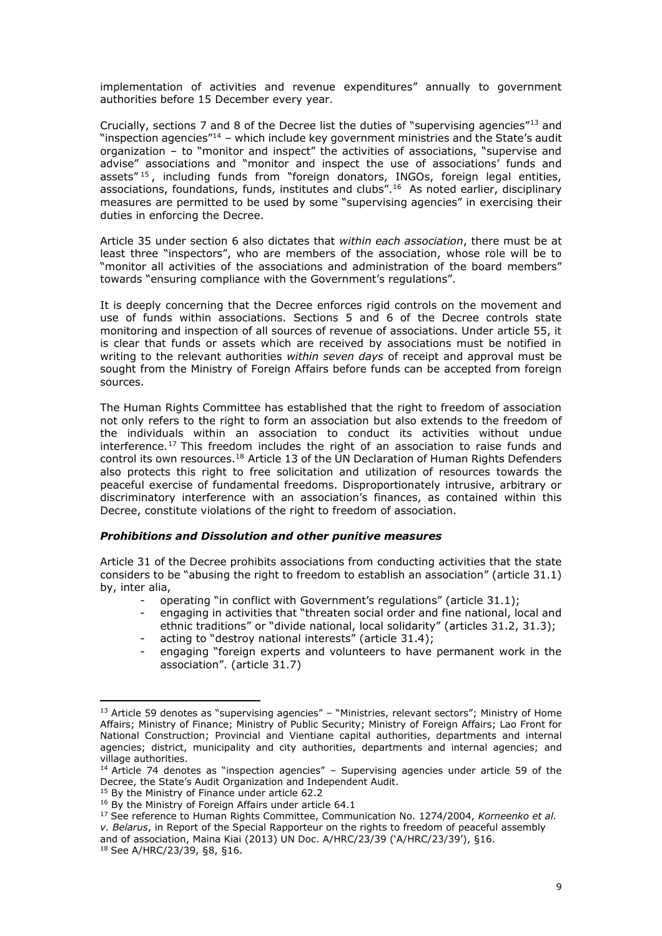implementation of activities and revenue expenditures" annually to government authorities before 15 December every year.

Crucially, sections 7 and 8 of the Decree list the duties of "supervising agencies"<sup>13</sup> and "inspection agencies" $14$  – which include key government ministries and the State's audit organization – to "monitor and inspect" the activities of associations, "supervise and advise" associations and "monitor and inspect the use of associations' funds and assets"<sup>15</sup>, including funds from "foreign donators, INGOs, foreign legal entities, associations, foundations, funds, institutes and clubs<sup>".16</sup> As noted earlier, disciplinary measures are permitted to be used by some "supervising agencies" in exercising their duties in enforcing the Decree.

Article 35 under section 6 also dictates that *within each association*, there must be at least three "inspectors", who are members of the association, whose role will be to "monitor all activities of the associations and administration of the board members" towards "ensuring compliance with the Government's regulations".

It is deeply concerning that the Decree enforces rigid controls on the movement and use of funds within associations. Sections 5 and 6 of the Decree controls state monitoring and inspection of all sources of revenue of associations. Under article 55, it is clear that funds or assets which are received by associations must be notified in writing to the relevant authorities *within seven days* of receipt and approval must be sought from the Ministry of Foreign Affairs before funds can be accepted from foreign sources.

The Human Rights Committee has established that the right to freedom of association not only refers to the right to form an association but also extends to the freedom of the individuals within an association to conduct its activities without undue interference.<sup>17</sup> This freedom includes the right of an association to raise funds and control its own resources. <sup>18</sup> Article 13 of the UN Declaration of Human Rights Defenders also protects this right to free solicitation and utilization of resources towards the peaceful exercise of fundamental freedoms. Disproportionately intrusive, arbitrary or discriminatory interference with an association's finances, as contained within this Decree, constitute violations of the right to freedom of association.

#### *Prohibitions and Dissolution and other punitive measures*

Article 31 of the Decree prohibits associations from conducting activities that the state considers to be "abusing the right to freedom to establish an association" (article 31.1) by, inter alia,

- operating "in conflict with Government's regulations" (article 31.1);
- engaging in activities that "threaten social order and fine national, local and ethnic traditions" or "divide national, local solidarity" (articles 31.2, 31.3); acting to "destroy national interests" (article 31.4);
- engaging "foreign experts and volunteers to have permanent work in the association". (article 31.7)

 $\overline{a}$ 

<sup>&</sup>lt;sup>13</sup> Article 59 denotes as "supervising agencies" – "Ministries, relevant sectors"; Ministry of Home Affairs; Ministry of Finance; Ministry of Public Security; Ministry of Foreign Affairs; Lao Front for National Construction; Provincial and Vientiane capital authorities, departments and internal agencies; district, municipality and city authorities, departments and internal agencies; and village authorities.

 $14$  Article 74 denotes as "inspection agencies" – Supervising agencies under article 59 of the Decree, the State's Audit Organization and Independent Audit.

<sup>&</sup>lt;sup>15</sup> By the Ministry of Finance under article 62.2

<sup>&</sup>lt;sup>16</sup> By the Ministry of Foreign Affairs under article 64.1

<sup>17</sup> See reference to Human Rights Committee, Communication No. 1274/2004, *Korneenko et al. v. Belarus*, in Report of the Special Rapporteur on the rights to freedom of peaceful assembly

and of association, Maina Kiai (2013) UN Doc. A/HRC/23/39 ('A/HRC/23/39'), §16.

<sup>18</sup> See A/HRC/23/39, §8, §16.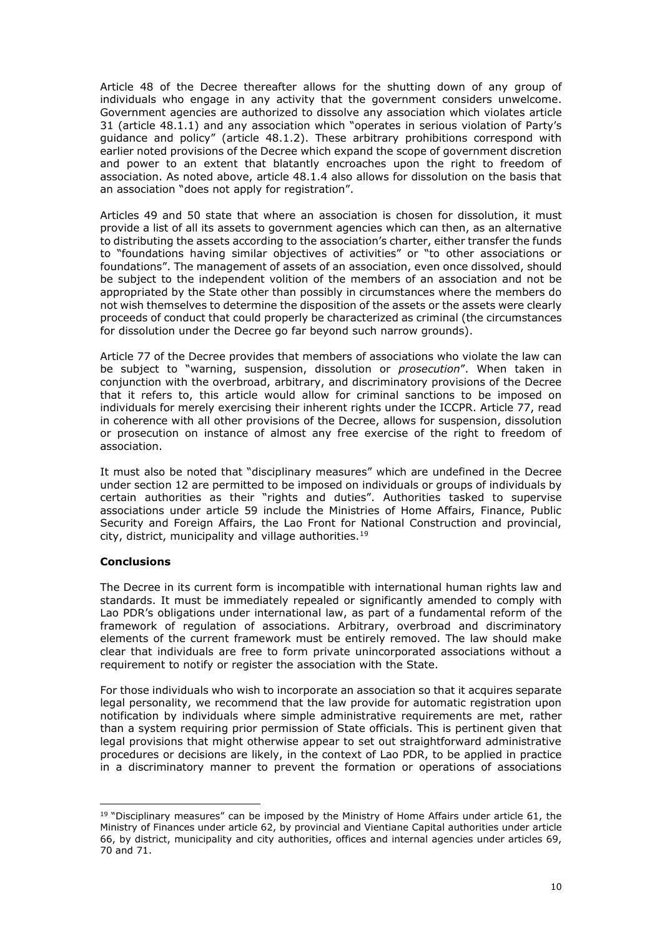Article 48 of the Decree thereafter allows for the shutting down of any group of individuals who engage in any activity that the government considers unwelcome. Government agencies are authorized to dissolve any association which violates article 31 (article 48.1.1) and any association which "operates in serious violation of Party's guidance and policy" (article 48.1.2). These arbitrary prohibitions correspond with earlier noted provisions of the Decree which expand the scope of government discretion and power to an extent that blatantly encroaches upon the right to freedom of association. As noted above, article 48.1.4 also allows for dissolution on the basis that an association "does not apply for registration".

Articles 49 and 50 state that where an association is chosen for dissolution, it must provide a list of all its assets to government agencies which can then, as an alternative to distributing the assets according to the association's charter, either transfer the funds to "foundations having similar objectives of activities" or "to other associations or foundations". The management of assets of an association, even once dissolved, should be subject to the independent volition of the members of an association and not be appropriated by the State other than possibly in circumstances where the members do not wish themselves to determine the disposition of the assets or the assets were clearly proceeds of conduct that could properly be characterized as criminal (the circumstances for dissolution under the Decree go far beyond such narrow grounds).

Article 77 of the Decree provides that members of associations who violate the law can be subject to "warning, suspension, dissolution or *prosecution*". When taken in conjunction with the overbroad, arbitrary, and discriminatory provisions of the Decree that it refers to, this article would allow for criminal sanctions to be imposed on individuals for merely exercising their inherent rights under the ICCPR. Article 77, read in coherence with all other provisions of the Decree, allows for suspension, dissolution or prosecution on instance of almost any free exercise of the right to freedom of association.

It must also be noted that "disciplinary measures" which are undefined in the Decree under section 12 are permitted to be imposed on individuals or groups of individuals by certain authorities as their "rights and duties". Authorities tasked to supervise associations under article 59 include the Ministries of Home Affairs, Finance, Public Security and Foreign Affairs, the Lao Front for National Construction and provincial, city, district, municipality and village authorities.<sup>19</sup>

# **Conclusions**

The Decree in its current form is incompatible with international human rights law and standards. It must be immediately repealed or significantly amended to comply with Lao PDR's obligations under international law, as part of a fundamental reform of the framework of regulation of associations. Arbitrary, overbroad and discriminatory elements of the current framework must be entirely removed. The law should make clear that individuals are free to form private unincorporated associations without a requirement to notify or register the association with the State.

For those individuals who wish to incorporate an association so that it acquires separate legal personality, we recommend that the law provide for automatic registration upon notification by individuals where simple administrative requirements are met, rather than a system requiring prior permission of State officials. This is pertinent given that legal provisions that might otherwise appear to set out straightforward administrative procedures or decisions are likely, in the context of Lao PDR, to be applied in practice in a discriminatory manner to prevent the formation or operations of associations

 $\overline{a}$  $19$  "Disciplinary measures" can be imposed by the Ministry of Home Affairs under article 61, the Ministry of Finances under article 62, by provincial and Vientiane Capital authorities under article 66, by district, municipality and city authorities, offices and internal agencies under articles 69, 70 and 71.